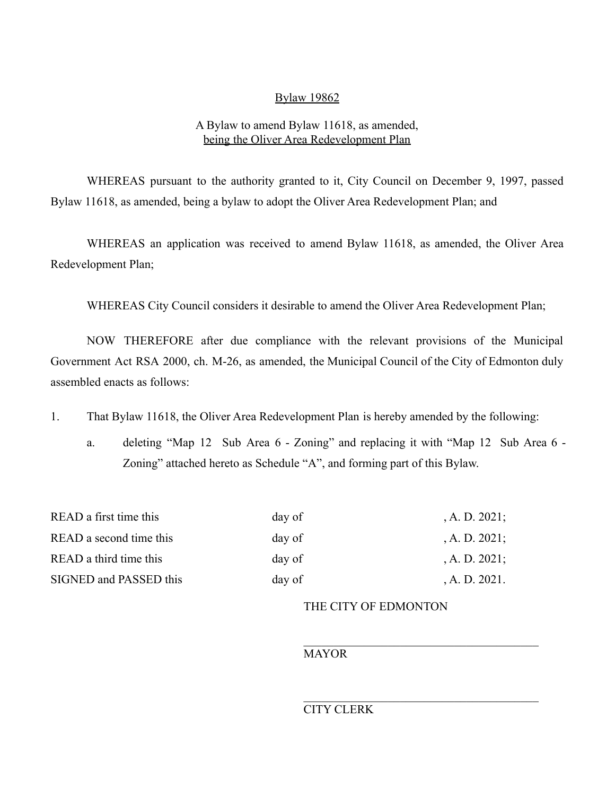## Bylaw 19862

## A Bylaw to amend Bylaw 11618, as amended, being the Oliver Area Redevelopment Plan

WHEREAS pursuant to the authority granted to it, City Council on December 9, 1997, passed Bylaw 11618, as amended, being a bylaw to adopt the Oliver Area Redevelopment Plan; and

WHEREAS an application was received to amend Bylaw 11618, as amended, the Oliver Area Redevelopment Plan;

WHEREAS City Council considers it desirable to amend the Oliver Area Redevelopment Plan;

NOW THEREFORE after due compliance with the relevant provisions of the Municipal Government Act RSA 2000, ch. M-26, as amended, the Municipal Council of the City of Edmonton duly assembled enacts as follows:

1. That Bylaw 11618, the Oliver Area Redevelopment Plan is hereby amended by the following:

a. deleting "Map 12 Sub Area 6 - Zoning" and replacing it with "Map 12 Sub Area 6 - Zoning" attached hereto as Schedule "A", and forming part of this Bylaw.

| READ a first time this  | day of | $A. D. 2021$ ; |
|-------------------------|--------|----------------|
| READ a second time this | day of | $A. D. 2021$ ; |
| READ a third time this  | day of | $A. D. 2021$ ; |
| SIGNED and PASSED this  | day of | A. D. 2021.    |

## THE CITY OF EDMONTON

 $\mathcal{L}_\text{max}$  , and the set of the set of the set of the set of the set of the set of the set of the set of the set of the set of the set of the set of the set of the set of the set of the set of the set of the set of the

 $\mathcal{L}_\text{max}$  , and the set of the set of the set of the set of the set of the set of the set of the set of the set of the set of the set of the set of the set of the set of the set of the set of the set of the set of the

MAYOR

## CITY CLERK